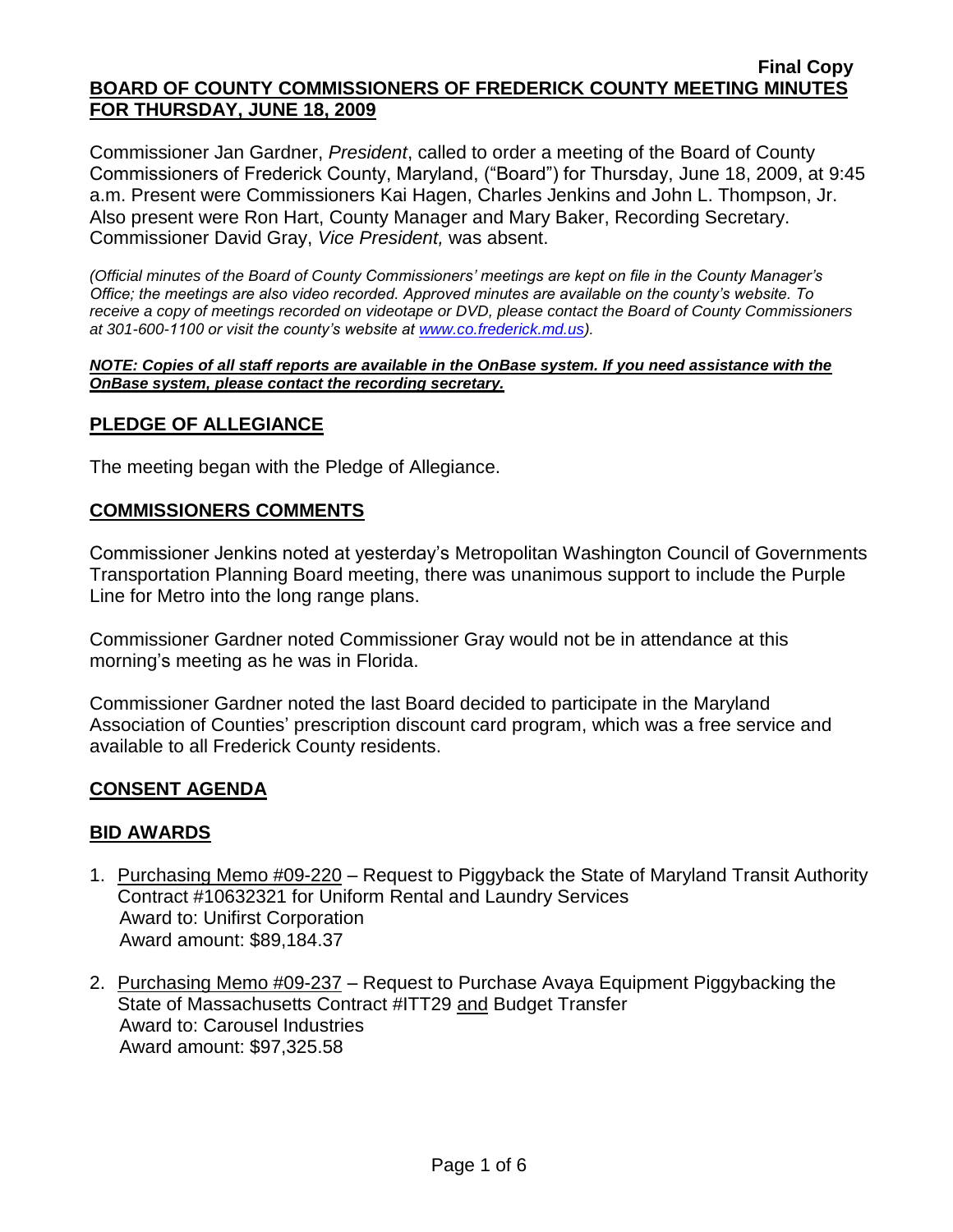Commissioner Jan Gardner, *President*, called to order a meeting of the Board of County Commissioners of Frederick County, Maryland, ("Board") for Thursday, June 18, 2009, at 9:45 a.m. Present were Commissioners Kai Hagen, Charles Jenkins and John L. Thompson, Jr. Also present were Ron Hart, County Manager and Mary Baker, Recording Secretary. Commissioner David Gray, *Vice President,* was absent.

*(Official minutes of the Board of County Commissioners' meetings are kept on file in the County Manager's Office; the meetings are also video recorded. Approved minutes are available on the county's website. To receive a copy of meetings recorded on videotape or DVD, please contact the Board of County Commissioners at 301-600-1100 or visit the county's website at [www.co.frederick.md.us\)](http://www.co.frederick.md.us/).*

#### *NOTE: Copies of all staff reports are available in the OnBase system. If you need assistance with the OnBase system, please contact the recording secretary.*

## **PLEDGE OF ALLEGIANCE**

The meeting began with the Pledge of Allegiance.

### **COMMISSIONERS COMMENTS**

Commissioner Jenkins noted at yesterday's Metropolitan Washington Council of Governments Transportation Planning Board meeting, there was unanimous support to include the Purple Line for Metro into the long range plans.

Commissioner Gardner noted Commissioner Gray would not be in attendance at this morning's meeting as he was in Florida.

Commissioner Gardner noted the last Board decided to participate in the Maryland Association of Counties' prescription discount card program, which was a free service and available to all Frederick County residents.

### **CONSENT AGENDA**

### **BID AWARDS**

- 1. Purchasing Memo #09-220 Request to Piggyback the State of Maryland Transit Authority Contract #10632321 for Uniform Rental and Laundry Services Award to: Unifirst Corporation Award amount: \$89,184.37
- 2. Purchasing Memo #09-237 Request to Purchase Avaya Equipment Piggybacking the State of Massachusetts Contract #ITT29 and Budget Transfer Award to: Carousel Industries Award amount: \$97,325.58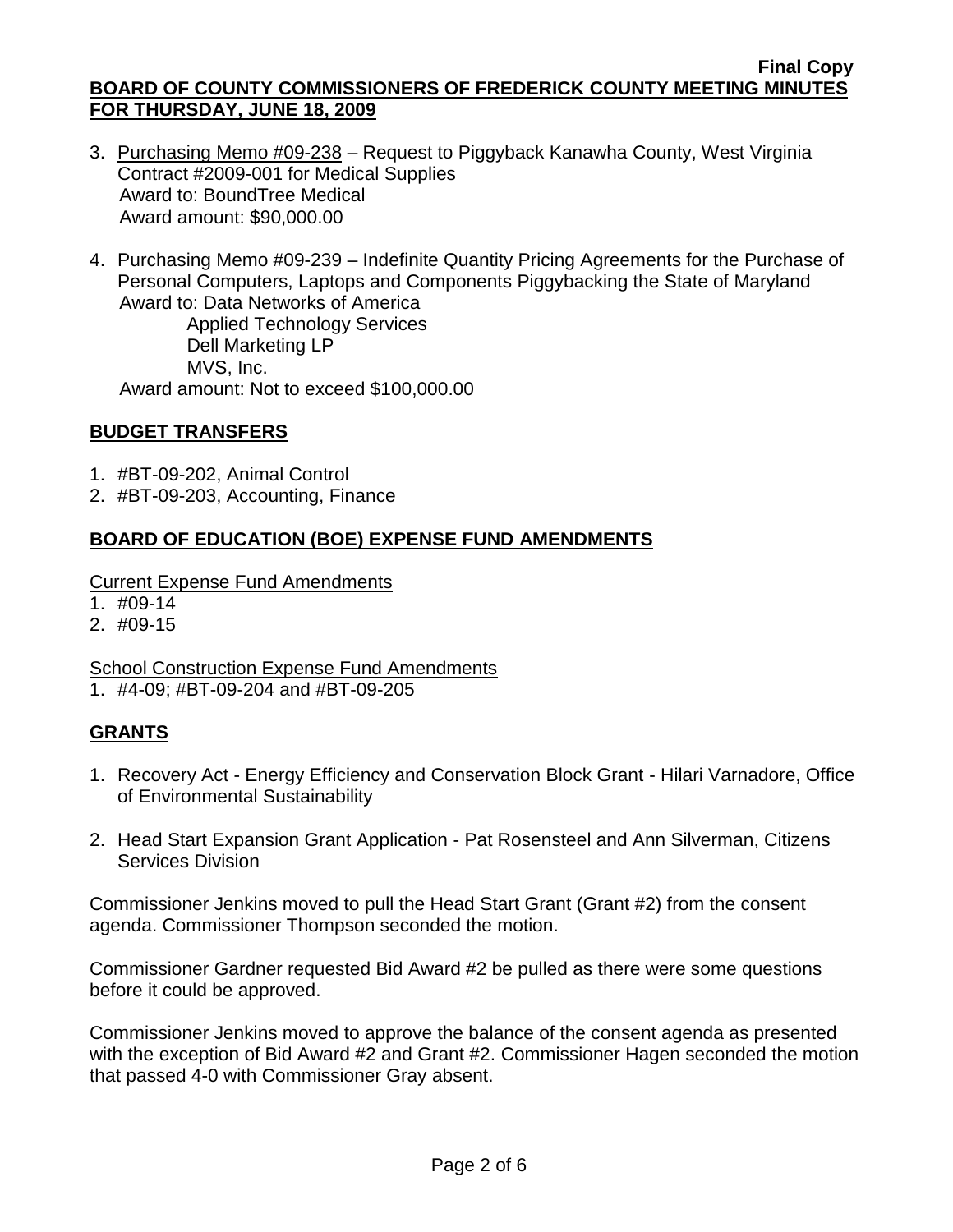- 3. Purchasing Memo #09-238 Request to Piggyback Kanawha County, West Virginia Contract #2009-001 for Medical Supplies Award to: BoundTree Medical Award amount: \$90,000.00
- 4. Purchasing Memo #09-239 Indefinite Quantity Pricing Agreements for the Purchase of Personal Computers, Laptops and Components Piggybacking the State of Maryland Award to: Data Networks of America Applied Technology Services Dell Marketing LP

MVS, Inc.

Award amount: Not to exceed \$100,000.00

## **BUDGET TRANSFERS**

- 1. #BT-09-202, Animal Control
- 2. #BT-09-203, Accounting, Finance

## **BOARD OF EDUCATION (BOE) EXPENSE FUND AMENDMENTS**

Current Expense Fund Amendments

- 1. #09-14
- 2. #09-15

School Construction Expense Fund Amendments

1. #4-09; #BT-09-204 and #BT-09-205

# **GRANTS**

- 1. Recovery Act Energy Efficiency and Conservation Block Grant Hilari Varnadore, Office of Environmental Sustainability
- 2. Head Start Expansion Grant Application Pat Rosensteel and Ann Silverman, Citizens Services Division

Commissioner Jenkins moved to pull the Head Start Grant (Grant #2) from the consent agenda. Commissioner Thompson seconded the motion.

Commissioner Gardner requested Bid Award #2 be pulled as there were some questions before it could be approved.

Commissioner Jenkins moved to approve the balance of the consent agenda as presented with the exception of Bid Award #2 and Grant #2. Commissioner Hagen seconded the motion that passed 4-0 with Commissioner Gray absent.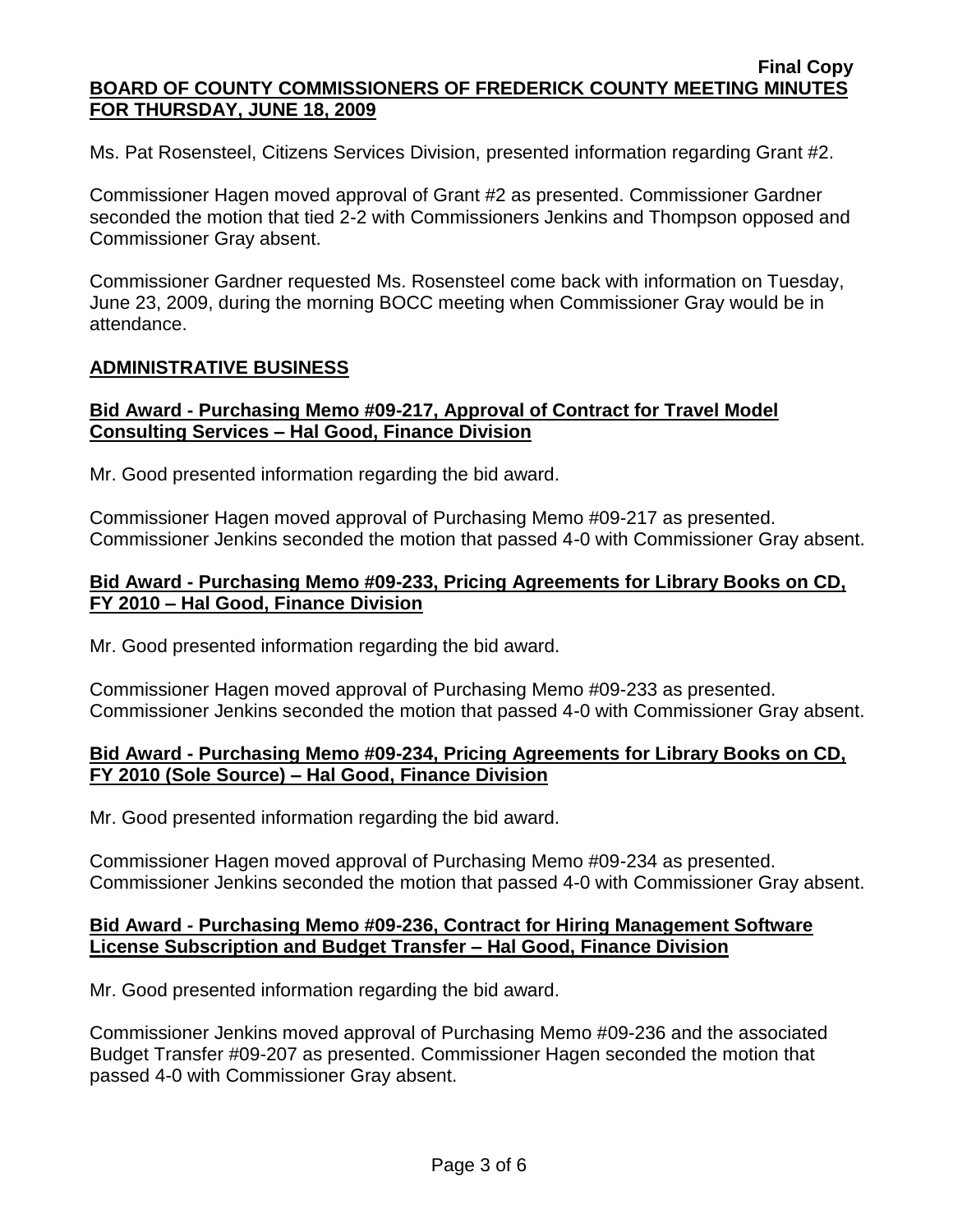Ms. Pat Rosensteel, Citizens Services Division, presented information regarding Grant #2.

Commissioner Hagen moved approval of Grant #2 as presented. Commissioner Gardner seconded the motion that tied 2-2 with Commissioners Jenkins and Thompson opposed and Commissioner Gray absent.

Commissioner Gardner requested Ms. Rosensteel come back with information on Tuesday, June 23, 2009, during the morning BOCC meeting when Commissioner Gray would be in attendance.

### **ADMINISTRATIVE BUSINESS**

### **Bid Award - Purchasing Memo #09-217, Approval of Contract for Travel Model Consulting Services – Hal Good, Finance Division**

Mr. Good presented information regarding the bid award.

Commissioner Hagen moved approval of Purchasing Memo #09-217 as presented. Commissioner Jenkins seconded the motion that passed 4-0 with Commissioner Gray absent.

### **Bid Award - Purchasing Memo #09-233, Pricing Agreements for Library Books on CD, FY 2010 – Hal Good, Finance Division**

Mr. Good presented information regarding the bid award.

Commissioner Hagen moved approval of Purchasing Memo #09-233 as presented. Commissioner Jenkins seconded the motion that passed 4-0 with Commissioner Gray absent.

### **Bid Award - Purchasing Memo #09-234, Pricing Agreements for Library Books on CD, FY 2010 (Sole Source) – Hal Good, Finance Division**

Mr. Good presented information regarding the bid award.

Commissioner Hagen moved approval of Purchasing Memo #09-234 as presented. Commissioner Jenkins seconded the motion that passed 4-0 with Commissioner Gray absent.

#### **Bid Award - Purchasing Memo #09-236, Contract for Hiring Management Software License Subscription and Budget Transfer – Hal Good, Finance Division**

Mr. Good presented information regarding the bid award.

Commissioner Jenkins moved approval of Purchasing Memo #09-236 and the associated Budget Transfer #09-207 as presented. Commissioner Hagen seconded the motion that passed 4-0 with Commissioner Gray absent.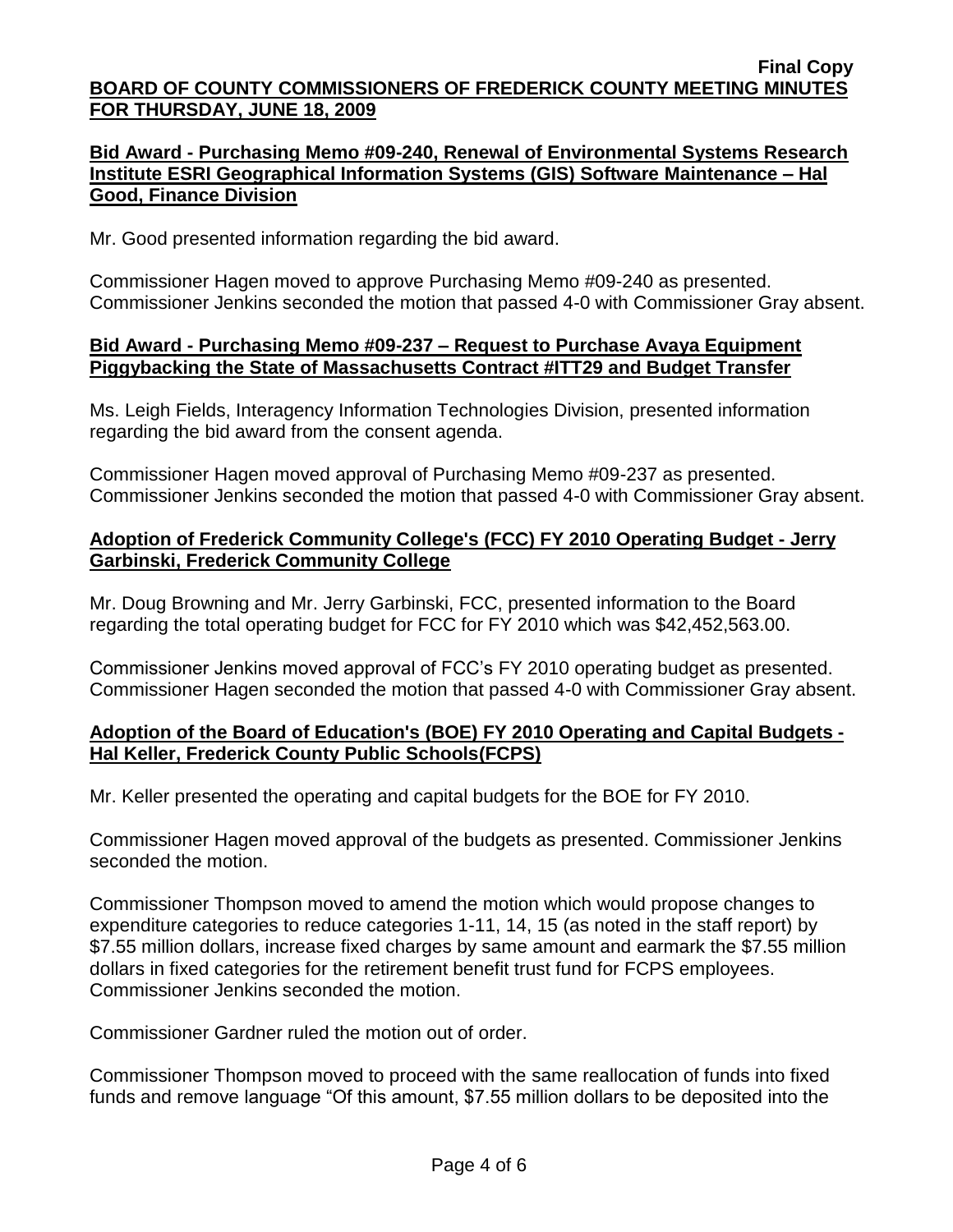## **Bid Award - Purchasing Memo #09-240, Renewal of Environmental Systems Research Institute ESRI Geographical Information Systems (GIS) Software Maintenance – Hal Good, Finance Division**

Mr. Good presented information regarding the bid award.

Commissioner Hagen moved to approve Purchasing Memo #09-240 as presented. Commissioner Jenkins seconded the motion that passed 4-0 with Commissioner Gray absent.

### **Bid Award - Purchasing Memo #09-237 – Request to Purchase Avaya Equipment Piggybacking the State of Massachusetts Contract #ITT29 and Budget Transfer**

Ms. Leigh Fields, Interagency Information Technologies Division, presented information regarding the bid award from the consent agenda.

Commissioner Hagen moved approval of Purchasing Memo #09-237 as presented. Commissioner Jenkins seconded the motion that passed 4-0 with Commissioner Gray absent.

## **Adoption of Frederick Community College's (FCC) FY 2010 Operating Budget - Jerry Garbinski, Frederick Community College**

Mr. Doug Browning and Mr. Jerry Garbinski, FCC, presented information to the Board regarding the total operating budget for FCC for FY 2010 which was \$42,452,563.00.

Commissioner Jenkins moved approval of FCC's FY 2010 operating budget as presented. Commissioner Hagen seconded the motion that passed 4-0 with Commissioner Gray absent.

# **Adoption of the Board of Education's (BOE) FY 2010 Operating and Capital Budgets - Hal Keller, Frederick County Public Schools(FCPS)**

Mr. Keller presented the operating and capital budgets for the BOE for FY 2010.

Commissioner Hagen moved approval of the budgets as presented. Commissioner Jenkins seconded the motion.

Commissioner Thompson moved to amend the motion which would propose changes to expenditure categories to reduce categories 1-11, 14, 15 (as noted in the staff report) by \$7.55 million dollars, increase fixed charges by same amount and earmark the \$7.55 million dollars in fixed categories for the retirement benefit trust fund for FCPS employees. Commissioner Jenkins seconded the motion.

Commissioner Gardner ruled the motion out of order.

Commissioner Thompson moved to proceed with the same reallocation of funds into fixed funds and remove language "Of this amount, \$7.55 million dollars to be deposited into the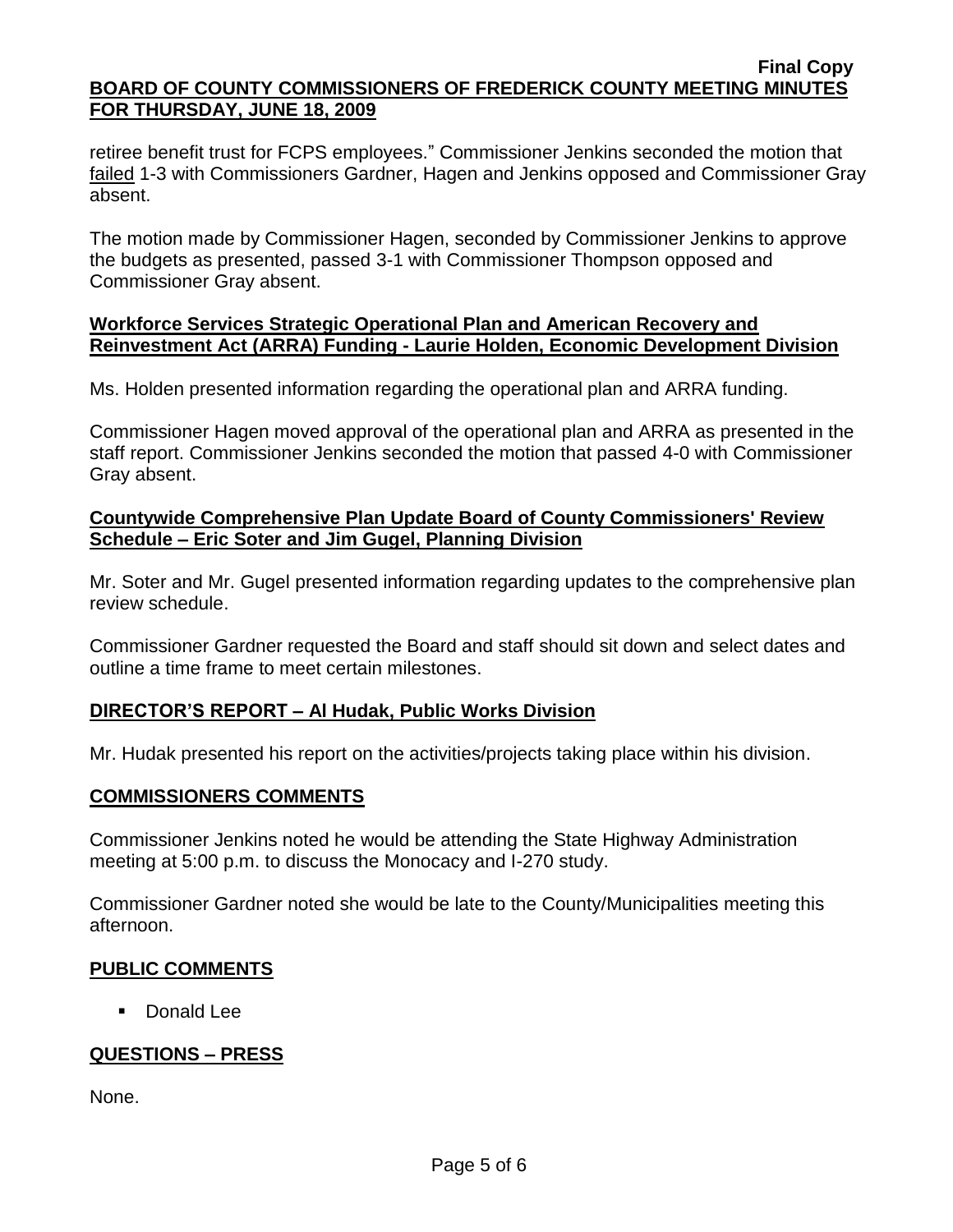retiree benefit trust for FCPS employees." Commissioner Jenkins seconded the motion that failed 1-3 with Commissioners Gardner, Hagen and Jenkins opposed and Commissioner Gray absent.

The motion made by Commissioner Hagen, seconded by Commissioner Jenkins to approve the budgets as presented, passed 3-1 with Commissioner Thompson opposed and Commissioner Gray absent.

### **Workforce Services Strategic Operational Plan and American Recovery and Reinvestment Act (ARRA) Funding - Laurie Holden, Economic Development Division**

Ms. Holden presented information regarding the operational plan and ARRA funding.

Commissioner Hagen moved approval of the operational plan and ARRA as presented in the staff report. Commissioner Jenkins seconded the motion that passed 4-0 with Commissioner Gray absent.

## **Countywide Comprehensive Plan Update Board of County Commissioners' Review Schedule – Eric Soter and Jim Gugel, Planning Division**

Mr. Soter and Mr. Gugel presented information regarding updates to the comprehensive plan review schedule.

Commissioner Gardner requested the Board and staff should sit down and select dates and outline a time frame to meet certain milestones.

# **DIRECTOR'S REPORT – Al Hudak, Public Works Division**

Mr. Hudak presented his report on the activities/projects taking place within his division.

### **COMMISSIONERS COMMENTS**

Commissioner Jenkins noted he would be attending the State Highway Administration meeting at 5:00 p.m. to discuss the Monocacy and I-270 study.

Commissioner Gardner noted she would be late to the County/Municipalities meeting this afternoon.

# **PUBLIC COMMENTS**

**Donald Lee** 

# **QUESTIONS – PRESS**

None.